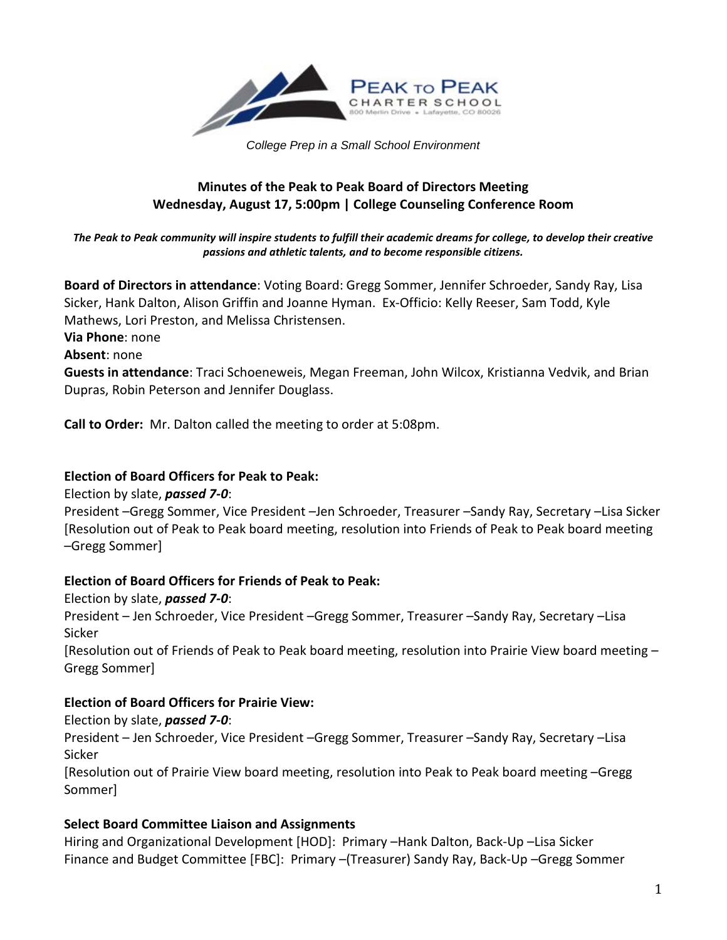

*College Prep in a Small School Environment*

## **Minutes of the Peak to Peak Board of Directors Meeting Wednesday, August 17, 5:00pm | College Counseling Conference Room**

#### *The Peak to Peak community will inspire students to fulfill their academic dreams for college, to develop their creative passions and athletic talents, and to become responsible citizens.*

**Board of Directors in attendance**: Voting Board: Gregg Sommer, Jennifer Schroeder, Sandy Ray, Lisa Sicker, Hank Dalton, Alison Griffin and Joanne Hyman. Ex-Officio: Kelly Reeser, Sam Todd, Kyle Mathews, Lori Preston, and Melissa Christensen.

**Via Phone**: none

**Absent**: none

**Guests in attendance**: Traci Schoeneweis, Megan Freeman, John Wilcox, Kristianna Vedvik, and Brian Dupras, Robin Peterson and Jennifer Douglass.

**Call to Order:** Mr. Dalton called the meeting to order at 5:08pm.

### **Election of Board Officers for Peak to Peak:**

Election by slate, *passed 7-0*:

President –Gregg Sommer, Vice President –Jen Schroeder, Treasurer –Sandy Ray, Secretary –Lisa Sicker [Resolution out of Peak to Peak board meeting, resolution into Friends of Peak to Peak board meeting –Gregg Sommer]

### **Election of Board Officers for Friends of Peak to Peak:**

Election by slate, *passed 7-0*:

President – Jen Schroeder, Vice President –Gregg Sommer, Treasurer –Sandy Ray, Secretary –Lisa Sicker

[Resolution out of Friends of Peak to Peak board meeting, resolution into Prairie View board meeting – Gregg Sommer]

## **Election of Board Officers for Prairie View:**

Election by slate, *passed 7-0*: President – Jen Schroeder, Vice President –Gregg Sommer, Treasurer –Sandy Ray, Secretary –Lisa Sicker

[Resolution out of Prairie View board meeting, resolution into Peak to Peak board meeting –Gregg Sommer]

## **Select Board Committee Liaison and Assignments**

Hiring and Organizational Development [HOD]: Primary –Hank Dalton, Back-Up –Lisa Sicker Finance and Budget Committee [FBC]: Primary –(Treasurer) Sandy Ray, Back-Up –Gregg Sommer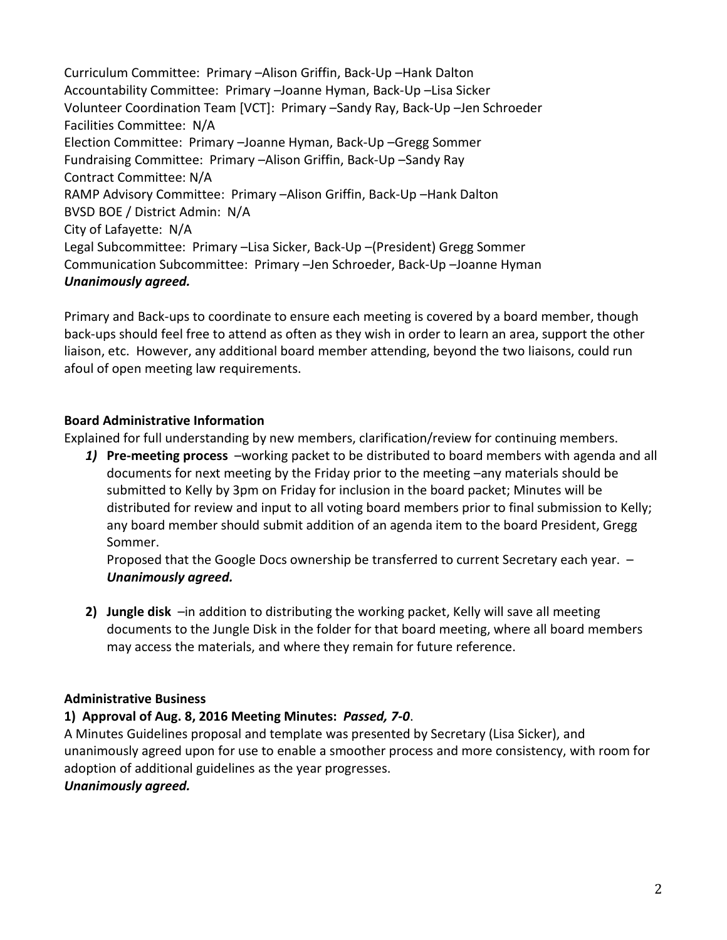Curriculum Committee: Primary –Alison Griffin, Back-Up –Hank Dalton Accountability Committee: Primary –Joanne Hyman, Back-Up –Lisa Sicker Volunteer Coordination Team [VCT]: Primary –Sandy Ray, Back-Up –Jen Schroeder Facilities Committee: N/A Election Committee: Primary –Joanne Hyman, Back-Up –Gregg Sommer Fundraising Committee: Primary –Alison Griffin, Back-Up –Sandy Ray Contract Committee: N/A RAMP Advisory Committee: Primary –Alison Griffin, Back-Up –Hank Dalton BVSD BOE / District Admin: N/A City of Lafayette: N/A Legal Subcommittee: Primary –Lisa Sicker, Back-Up –(President) Gregg Sommer Communication Subcommittee: Primary –Jen Schroeder, Back-Up –Joanne Hyman *Unanimously agreed.* 

Primary and Back-ups to coordinate to ensure each meeting is covered by a board member, though back-ups should feel free to attend as often as they wish in order to learn an area, support the other liaison, etc. However, any additional board member attending, beyond the two liaisons, could run afoul of open meeting law requirements.

## **Board Administrative Information**

Explained for full understanding by new members, clarification/review for continuing members.

*1)* **Pre-meeting process** –working packet to be distributed to board members with agenda and all documents for next meeting by the Friday prior to the meeting –any materials should be submitted to Kelly by 3pm on Friday for inclusion in the board packet; Minutes will be distributed for review and input to all voting board members prior to final submission to Kelly; any board member should submit addition of an agenda item to the board President, Gregg Sommer.

Proposed that the Google Docs ownership be transferred to current Secretary each year. – *Unanimously agreed.*

**2) Jungle disk** –in addition to distributing the working packet, Kelly will save all meeting documents to the Jungle Disk in the folder for that board meeting, where all board members may access the materials, and where they remain for future reference.

## **Administrative Business**

### **1) Approval of Aug. 8, 2016 Meeting Minutes:** *Passed, 7-0*.

A Minutes Guidelines proposal and template was presented by Secretary (Lisa Sicker), and unanimously agreed upon for use to enable a smoother process and more consistency, with room for adoption of additional guidelines as the year progresses.

### *Unanimously agreed.*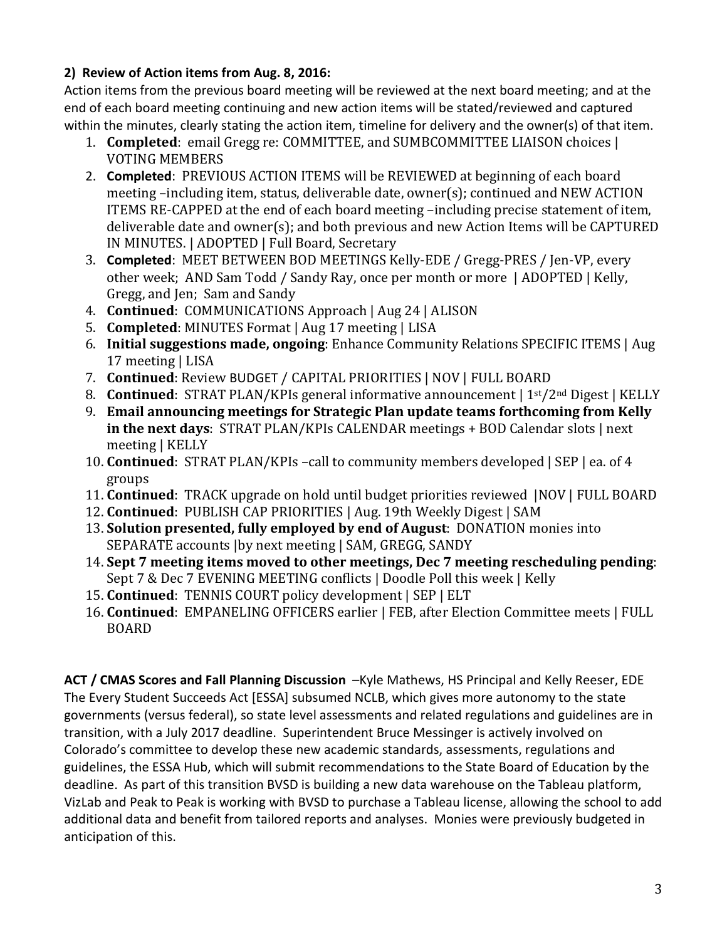## **2) Review of Action items from Aug. 8, 2016:**

Action items from the previous board meeting will be reviewed at the next board meeting; and at the end of each board meeting continuing and new action items will be stated/reviewed and captured within the minutes, clearly stating the action item, timeline for delivery and the owner(s) of that item.

- 1. **Completed**: email Gregg re: COMMITTEE, and SUMBCOMMITTEE LIAISON choices | VOTING MEMBERS
- 2. **Completed**: PREVIOUS ACTION ITEMS will be REVIEWED at beginning of each board meeting –including item, status, deliverable date, owner(s); continued and NEW ACTION ITEMS RE-CAPPED at the end of each board meeting –including precise statement of item, deliverable date and owner(s); and both previous and new Action Items will be CAPTURED IN MINUTES. | ADOPTED | Full Board, Secretary
- 3. **Completed**: MEET BETWEEN BOD MEETINGS Kelly-EDE / Gregg-PRES / Jen-VP, every other week; AND Sam Todd / Sandy Ray, once per month or more | ADOPTED | Kelly, Gregg, and Jen; Sam and Sandy
- 4. **Continued**: COMMUNICATIONS Approach | Aug 24 | ALISON
- 5. **Completed**: MINUTES Format | Aug 17 meeting | LISA
- 6. **Initial suggestions made, ongoing**: Enhance Community Relations SPECIFIC ITEMS | Aug 17 meeting | LISA
- 7. **Continued**: Review BUDGET / CAPITAL PRIORITIES | NOV | FULL BOARD
- 8. **Continued**: STRAT PLAN/KPIs general informative announcement | 1<sup>st</sup>/2<sup>nd</sup> Digest | KELLY
- 9. **Email announcing meetings for Strategic Plan update teams forthcoming from Kelly in the next days**: STRAT PLAN/KPIs CALENDAR meetings + BOD Calendar slots | next meeting | KELLY
- 10. **Continued**: STRAT PLAN/KPIs –call to community members developed | SEP | ea. of 4 groups
- 11. **Continued**: TRACK upgrade on hold until budget priorities reviewed |NOV | FULL BOARD
- 12. **Continued**: PUBLISH CAP PRIORITIES | Aug. 19th Weekly Digest | SAM
- 13. **Solution presented, fully employed by end of August**: DONATION monies into SEPARATE accounts |by next meeting | SAM, GREGG, SANDY
- 14. **Sept 7 meeting items moved to other meetings, Dec 7 meeting rescheduling pending**: Sept 7 & Dec 7 EVENING MEETING conflicts | Doodle Poll this week | Kelly
- 15. **Continued**: TENNIS COURT policy development | SEP | ELT
- 16. **Continued**: EMPANELING OFFICERS earlier | FEB, after Election Committee meets | FULL BOARD

**ACT / CMAS Scores and Fall Planning Discussion** –Kyle Mathews, HS Principal and Kelly Reeser, EDE The Every Student Succeeds Act [ESSA] subsumed NCLB, which gives more autonomy to the state governments (versus federal), so state level assessments and related regulations and guidelines are in transition, with a July 2017 deadline. Superintendent Bruce Messinger is actively involved on Colorado's committee to develop these new academic standards, assessments, regulations and guidelines, the ESSA Hub, which will submit recommendations to the State Board of Education by the deadline. As part of this transition BVSD is building a new data warehouse on the Tableau platform, VizLab and Peak to Peak is working with BVSD to purchase a Tableau license, allowing the school to add additional data and benefit from tailored reports and analyses. Monies were previously budgeted in anticipation of this.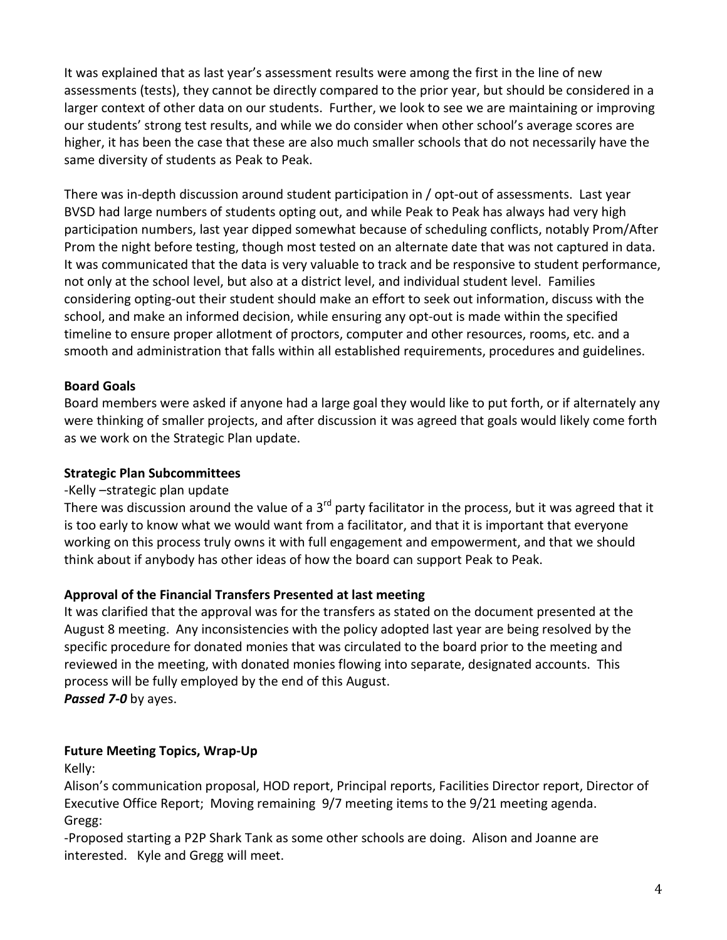It was explained that as last year's assessment results were among the first in the line of new assessments (tests), they cannot be directly compared to the prior year, but should be considered in a larger context of other data on our students. Further, we look to see we are maintaining or improving our students' strong test results, and while we do consider when other school's average scores are higher, it has been the case that these are also much smaller schools that do not necessarily have the same diversity of students as Peak to Peak.

There was in-depth discussion around student participation in / opt-out of assessments. Last year BVSD had large numbers of students opting out, and while Peak to Peak has always had very high participation numbers, last year dipped somewhat because of scheduling conflicts, notably Prom/After Prom the night before testing, though most tested on an alternate date that was not captured in data. It was communicated that the data is very valuable to track and be responsive to student performance, not only at the school level, but also at a district level, and individual student level. Families considering opting-out their student should make an effort to seek out information, discuss with the school, and make an informed decision, while ensuring any opt-out is made within the specified timeline to ensure proper allotment of proctors, computer and other resources, rooms, etc. and a smooth and administration that falls within all established requirements, procedures and guidelines.

## **Board Goals**

Board members were asked if anyone had a large goal they would like to put forth, or if alternately any were thinking of smaller projects, and after discussion it was agreed that goals would likely come forth as we work on the Strategic Plan update.

## **Strategic Plan Subcommittees**

## -Kelly –strategic plan update

There was discussion around the value of a  $3<sup>rd</sup>$  party facilitator in the process, but it was agreed that it is too early to know what we would want from a facilitator, and that it is important that everyone working on this process truly owns it with full engagement and empowerment, and that we should think about if anybody has other ideas of how the board can support Peak to Peak.

## **Approval of the Financial Transfers Presented at last meeting**

It was clarified that the approval was for the transfers as stated on the document presented at the August 8 meeting. Any inconsistencies with the policy adopted last year are being resolved by the specific procedure for donated monies that was circulated to the board prior to the meeting and reviewed in the meeting, with donated monies flowing into separate, designated accounts. This process will be fully employed by the end of this August. *Passed 7-0* by ayes.

## **Future Meeting Topics, Wrap-Up**

Kelly:

Alison's communication proposal, HOD report, Principal reports, Facilities Director report, Director of Executive Office Report; Moving remaining 9/7 meeting items to the 9/21 meeting agenda. Gregg:

-Proposed starting a P2P Shark Tank as some other schools are doing. Alison and Joanne are interested. Kyle and Gregg will meet.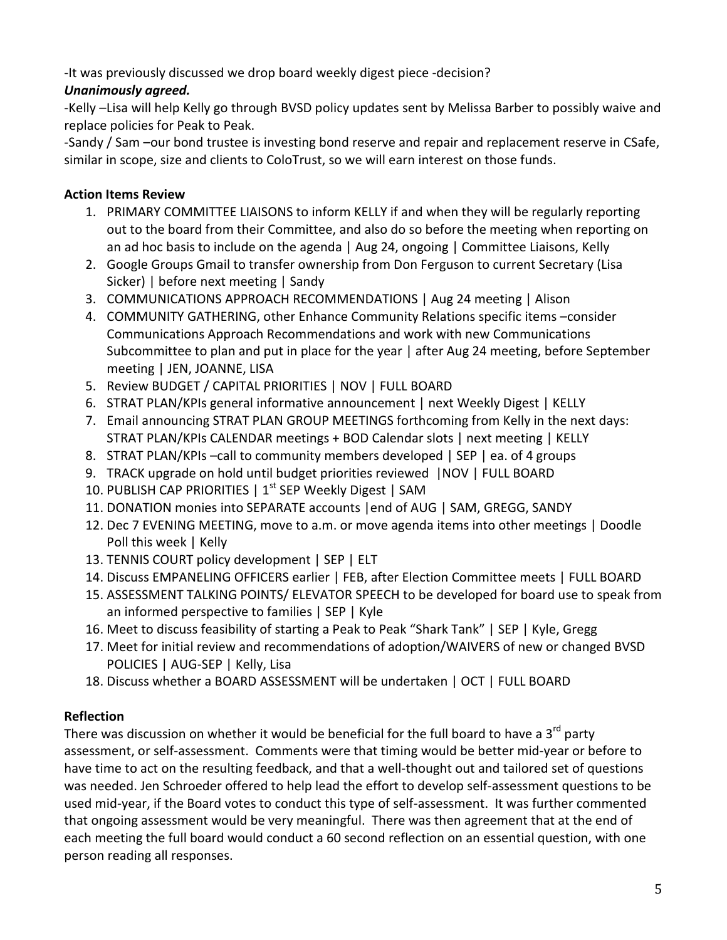-It was previously discussed we drop board weekly digest piece -decision?

# *Unanimously agreed.*

-Kelly –Lisa will help Kelly go through BVSD policy updates sent by Melissa Barber to possibly waive and replace policies for Peak to Peak.

-Sandy / Sam –our bond trustee is investing bond reserve and repair and replacement reserve in CSafe, similar in scope, size and clients to ColoTrust, so we will earn interest on those funds.

# **Action Items Review**

- 1. PRIMARY COMMITTEE LIAISONS to inform KELLY if and when they will be regularly reporting out to the board from their Committee, and also do so before the meeting when reporting on an ad hoc basis to include on the agenda | Aug 24, ongoing | Committee Liaisons, Kelly
- 2. Google Groups Gmail to transfer ownership from Don Ferguson to current Secretary (Lisa Sicker) | before next meeting | Sandy
- 3. COMMUNICATIONS APPROACH RECOMMENDATIONS | Aug 24 meeting | Alison
- 4. COMMUNITY GATHERING, other Enhance Community Relations specific items –consider Communications Approach Recommendations and work with new Communications Subcommittee to plan and put in place for the year | after Aug 24 meeting, before September meeting | JEN, JOANNE, LISA
- 5. Review BUDGET / CAPITAL PRIORITIES | NOV | FULL BOARD
- 6. STRAT PLAN/KPIs general informative announcement | next Weekly Digest | KELLY
- 7. Email announcing STRAT PLAN GROUP MEETINGS forthcoming from Kelly in the next days: STRAT PLAN/KPIs CALENDAR meetings + BOD Calendar slots | next meeting | KELLY
- 8. STRAT PLAN/KPIs –call to community members developed | SEP | ea. of 4 groups
- 9. TRACK upgrade on hold until budget priorities reviewed |NOV | FULL BOARD
- 10. PUBLISH CAP PRIORITIES | 1<sup>st</sup> SEP Weekly Digest | SAM
- 11. DONATION monies into SEPARATE accounts |end of AUG | SAM, GREGG, SANDY
- 12. Dec 7 EVENING MEETING, move to a.m. or move agenda items into other meetings | Doodle Poll this week | Kelly
- 13. TENNIS COURT policy development | SEP | ELT
- 14. Discuss EMPANELING OFFICERS earlier | FEB, after Election Committee meets | FULL BOARD
- 15. ASSESSMENT TALKING POINTS/ ELEVATOR SPEECH to be developed for board use to speak from an informed perspective to families | SEP | Kyle
- 16. Meet to discuss feasibility of starting a Peak to Peak "Shark Tank" | SEP | Kyle, Gregg
- 17. Meet for initial review and recommendations of adoption/WAIVERS of new or changed BVSD POLICIES | AUG-SEP | Kelly, Lisa
- 18. Discuss whether a BOARD ASSESSMENT will be undertaken | OCT | FULL BOARD

# **Reflection**

There was discussion on whether it would be beneficial for the full board to have a  $3^{rd}$  party assessment, or self-assessment. Comments were that timing would be better mid-year or before to have time to act on the resulting feedback, and that a well-thought out and tailored set of questions was needed. Jen Schroeder offered to help lead the effort to develop self-assessment questions to be used mid-year, if the Board votes to conduct this type of self-assessment. It was further commented that ongoing assessment would be very meaningful. There was then agreement that at the end of each meeting the full board would conduct a 60 second reflection on an essential question, with one person reading all responses.